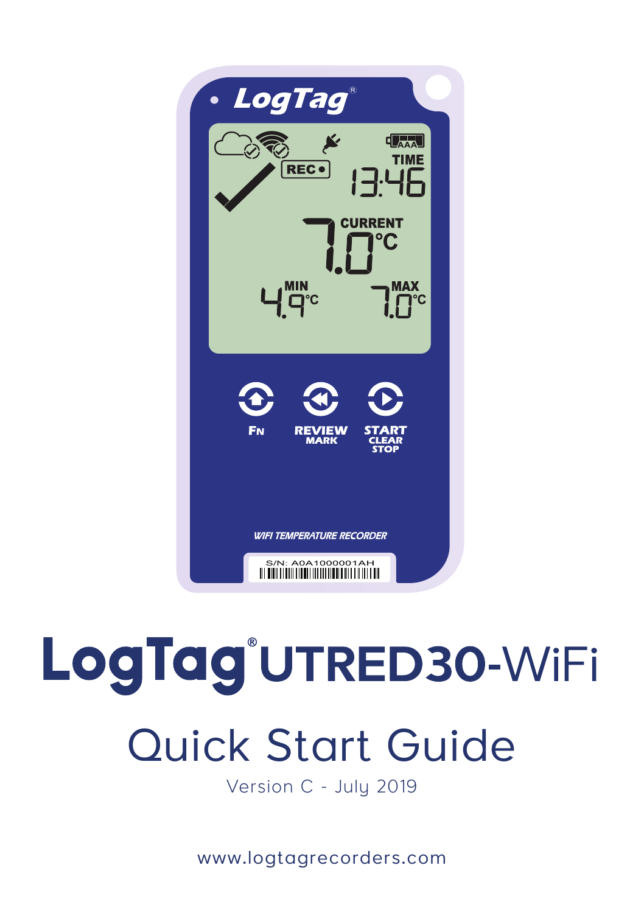

# LogTag<sup>®</sup>UTRED30-WiFi

## Quick Start Guide

Version C - July 2019

www.logtagrecorders.com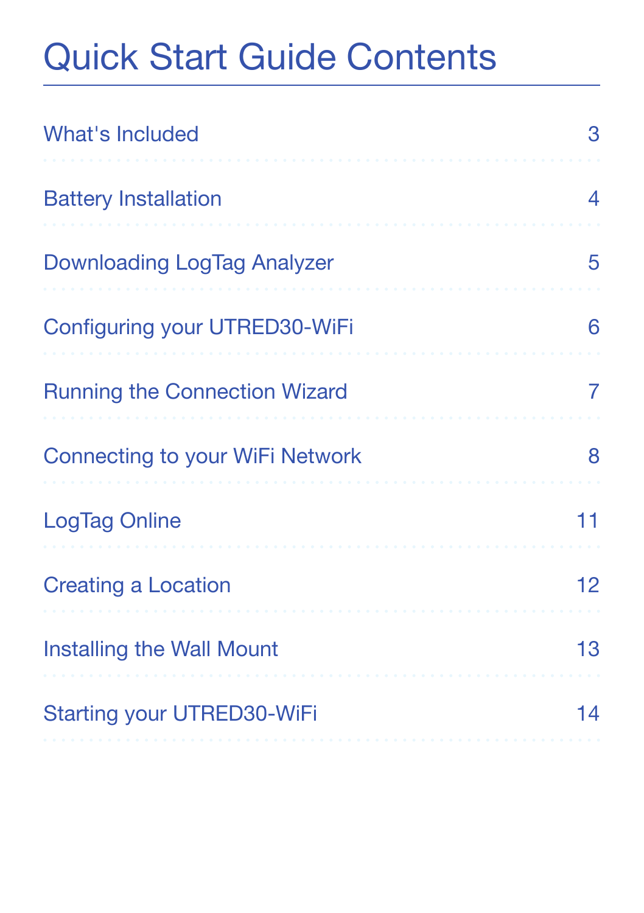### Quick Start Guide Contents

| <b>What's Included</b>               | З  |
|--------------------------------------|----|
| <b>Battery Installation</b>          | 4  |
| Downloading LogTag Analyzer          | 5  |
| Configuring your UTRED30-WiFi        | 6  |
| <b>Running the Connection Wizard</b> | 7  |
| Connecting to your WiFi Network      | 8  |
| LogTag Online                        | 11 |
| <b>Creating a Location</b>           | 12 |
| Installing the Wall Mount            | 13 |
| Starting your UTRED30-WiFi           | 14 |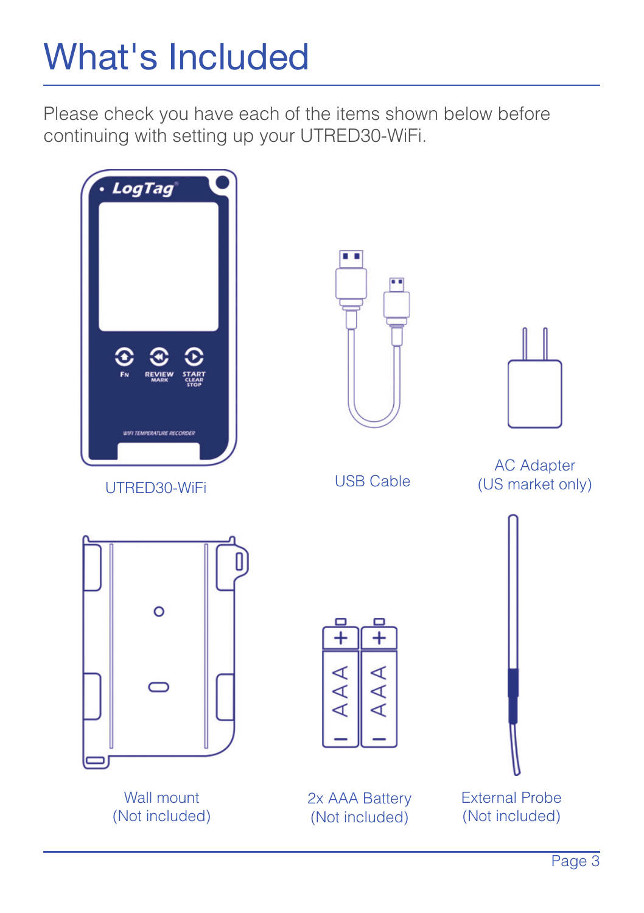### What's Included

Please check you have each of the items shown below before continuing with setting up your UTRED30-WiFi.

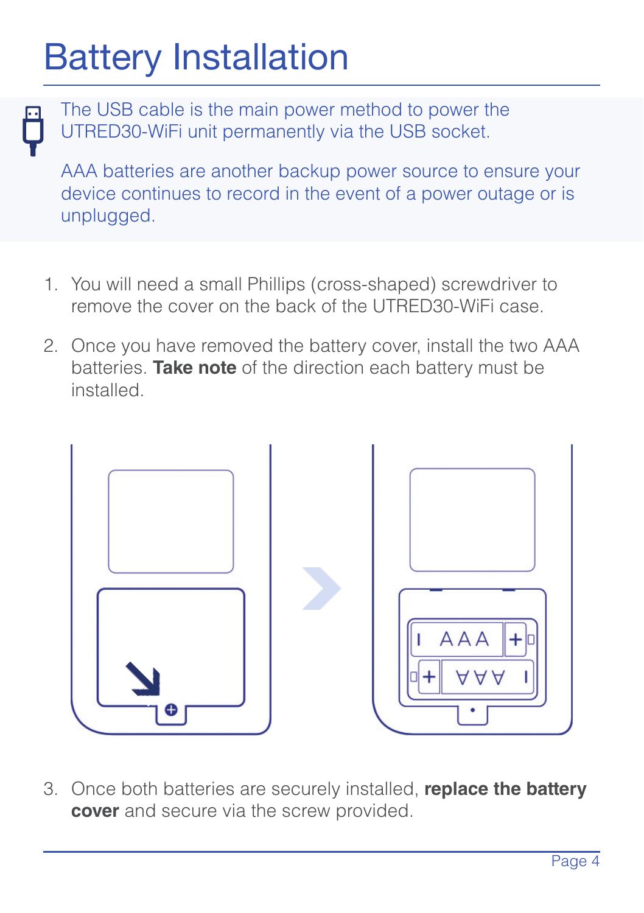### Battery Installation

The USB cable is the main power method to power the UTRED30-WiFi unit permanently via the USB socket.

AAA batteries are another backup power source to ensure your device continues to record in the event of a power outage or is unplugged.

- 1. You will need a small Phillips (cross-shaped) screwdriver to remove the cover on the back of the UTRED30-WiFi case.
- 2. Once you have removed the battery cover, install the two AAA batteries. **Take note** of the direction each battery must be installed.



3. Once both batteries are securely installed, **replace the battery cover** and secure via the screw provided.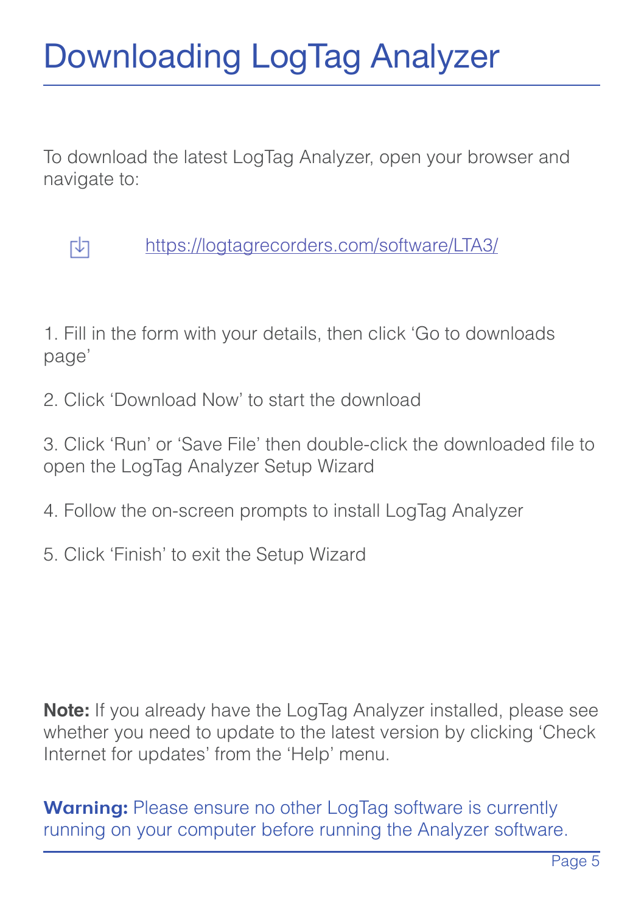### Downloading LogTag Analyzer

To download the latest LogTag Analyzer, open your browser and navigate to:



https://logtagrecorders.com/software/LTA3/

1. Fill in the form with your details, then click 'Go to downloads page'

2. Click 'Download Now' to start the download

3. Click 'Run' or 'Save File' then double-click the downloaded file to open the LogTag Analyzer Setup Wizard

- 4. Follow the on-screen prompts to install LogTag Analyzer
- 5. Click 'Finish' to exit the Setup Wizard

**Note:** If you already have the LogTag Analyzer installed, please see whether you need to update to the latest version by clicking 'Check Internet for updates' from the 'Help' menu.

**Warning:** Please ensure no other LogTag software is currently running on your computer before running the Analyzer software.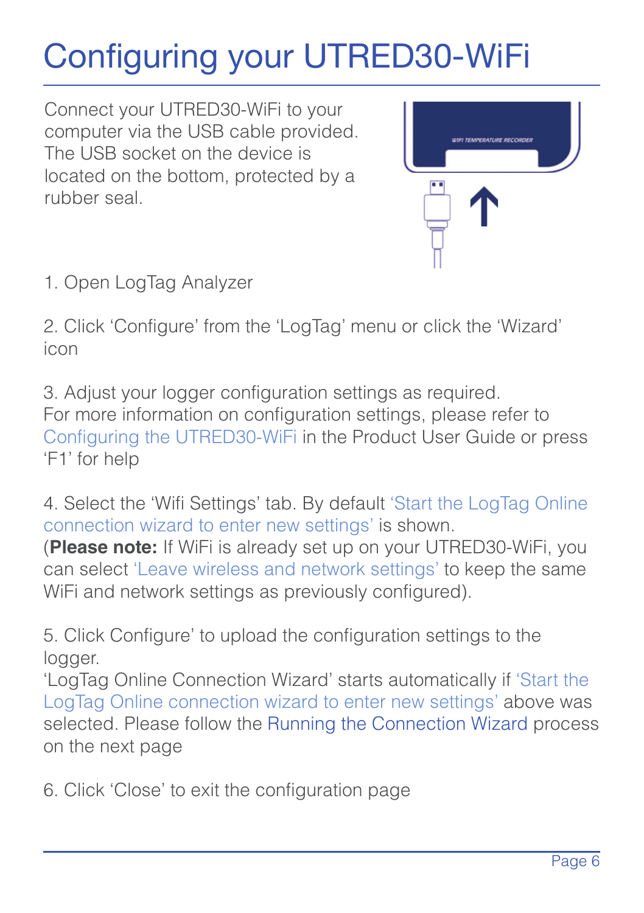### Configuring your UTRED30-WiFi

Connect your UTRED30-WiFi to your computer via the USB cable provided. The USB socket on the device is located on the bottom, protected by a rubber seal.



1. Open LogTag Analyzer

2. Click 'Configure' from the 'LogTag' menu or click the 'Wizard' icon

3. Adjust your logger configuration settings as required. For more information on configuration settings, please refer to Configuring the UTRED30-WiFi in the Product User Guide or press 'F1' for help

4. Select the 'Wifi Settings' tab. By default 'Start the LogTag Online connection wizard to enter new settings' is shown.

(**Please note:** If WiFi is already set up on your UTRED30-WiFi, you can select 'Leave wireless and network settings' to keep the same WiFi and network settings as previously configured).

5. Click Configure' to upload the configuration settings to the logger.

'LogTag Online Connection Wizard' starts automatically if 'Start the LogTag Online connection wizard to enter new settings' above was selected. Please follow the Running the Connection Wizard process on the next page

6. Click 'Close' to exit the configuration page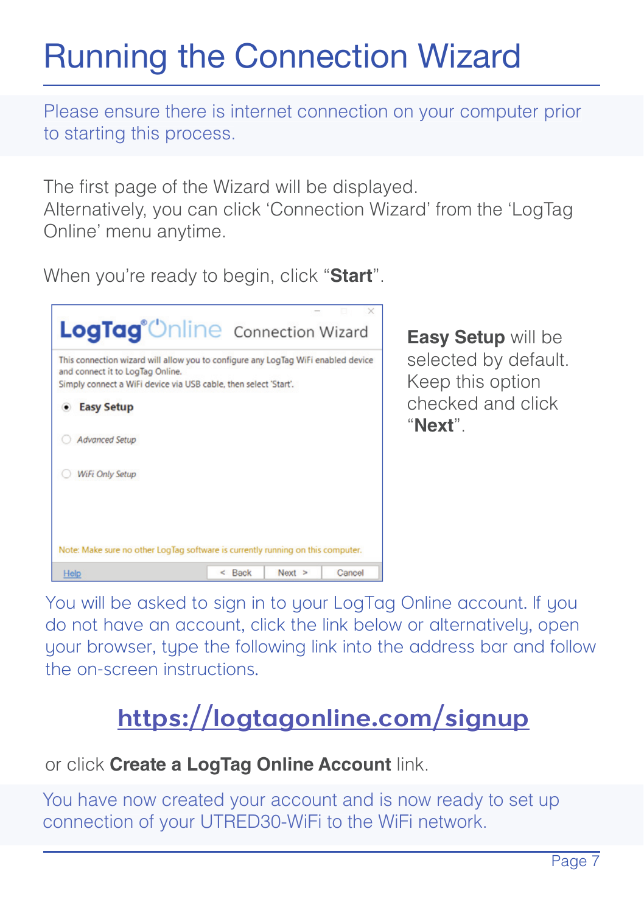### Running the Connection Wizard

Please ensure there is internet connection on your computer prior to starting this process.

The first page of the Wizard will be displayed.

Alternatively, you can click 'Connection Wizard' from the 'LogTag Online' menu anytime.

When you're ready to begin, click "**Start**".



**Easy Setup** will be selected by default. Keep this option checked and click "**Next**".

You will be asked to sign in to your LogTag Online account. If you do not have an account, click the link below or alternatively, open your browser, type the following link into the address bar and follow the on-screen instructions.

### **https://logtagonline.com/signup**

or click **Create a LogTag Online Account** link.

You have now created your account and is now ready to set up connection of your UTRED30-WiFi to the WiFi network.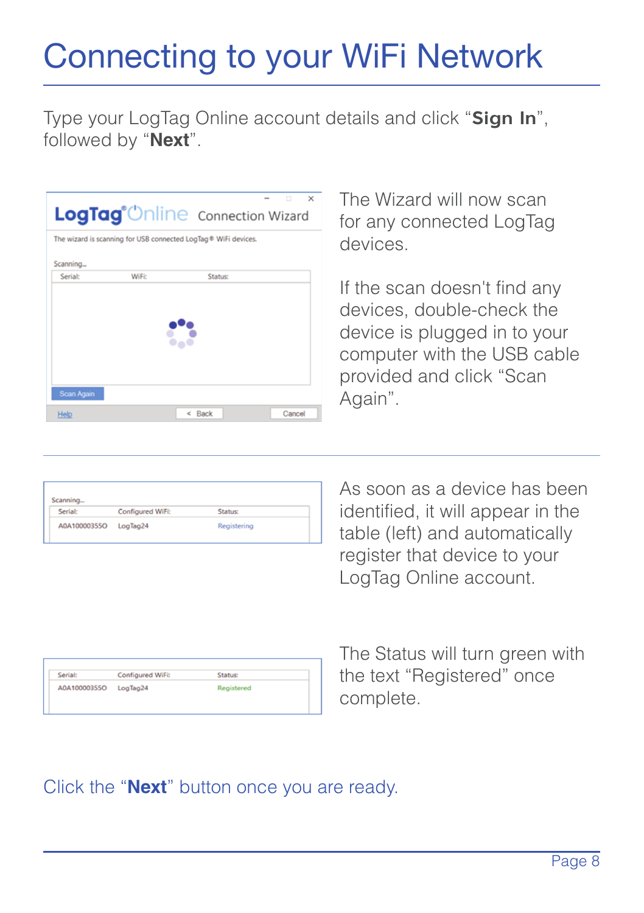### Connecting to your WiFi Network

Type your LogTag Online account details and click "**Sign In**", followed by "**Next**".

|            |       | LogTag <sup>®</sup> Unline Connection Wizard                   | ö<br>×<br>- |
|------------|-------|----------------------------------------------------------------|-------------|
|            |       | The wizard is scanning for USB connected LogTag® WiFi devices. |             |
| Scanning   |       |                                                                |             |
| Serial:    | WiFi: | Status                                                         |             |
|            |       |                                                                |             |
|            |       |                                                                |             |
|            |       |                                                                |             |
|            |       |                                                                |             |
|            |       |                                                                |             |
|            |       |                                                                |             |
| Scan Again |       |                                                                |             |
| Help       |       | $<$ Rack                                                       | Cancel      |
|            |       |                                                                |             |

The Wizard will now scan for any connected LogTag devices.

If the scan doesn't find any devices, double-check the device is plugged in to your computer with the USB cable provided and click "Scan Again".

| Configured Wife       | <b>Status:</b> |  |
|-----------------------|----------------|--|
| A0A10000355O LogTag24 | Registering    |  |
|                       |                |  |

As soon as a device has been identified, it will appear in the table (left) and automatically register that device to your LogTag Online account.

| <b>Serial:</b>        | Configured WiFi: | Stanje     |  |
|-----------------------|------------------|------------|--|
| A0A10000355O LogTag24 |                  | Registered |  |
|                       |                  |            |  |

The Status will turn green with the text "Registered" once complete.

#### Click the "**Next**" button once you are ready.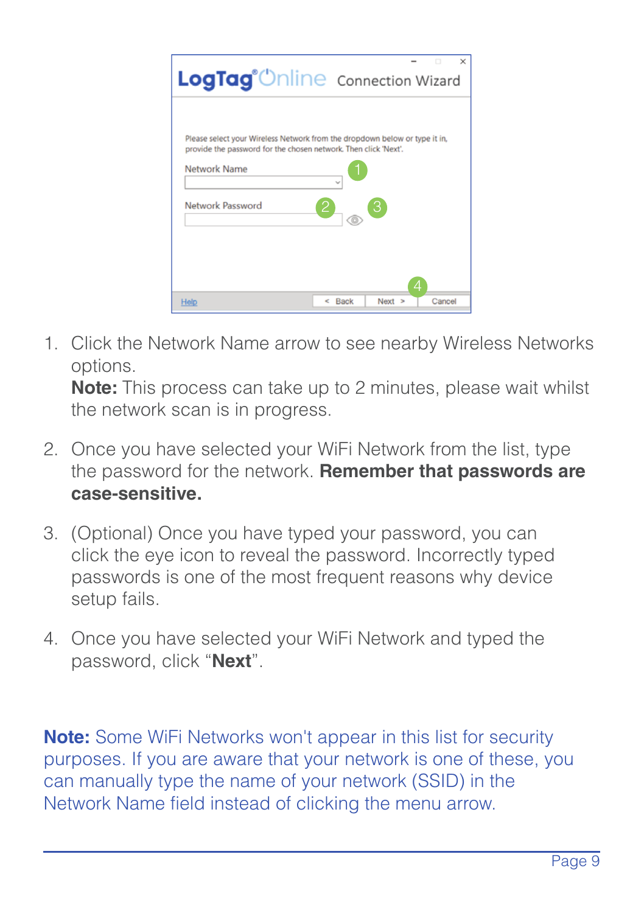

1. Click the Network Name arrow to see nearby Wireless Networks options.

**Note:** This process can take up to 2 minutes, please wait whilst the network scan is in progress.

- 2. Once you have selected your WiFi Network from the list, type the password for the network. **Remember that passwords are case-sensitive.**
- 3. (Optional) Once you have typed your password, you can click the eye icon to reveal the password. Incorrectly typed passwords is one of the most frequent reasons why device .<br>setup fails
- 4. Once you have selected your WiFi Network and typed the password, click "**Next**".

**Note:** Some WiFi Networks won't appear in this list for security purposes. If you are aware that your network is one of these, you can manually type the name of your network (SSID) in the Network Name field instead of clicking the menu arrow.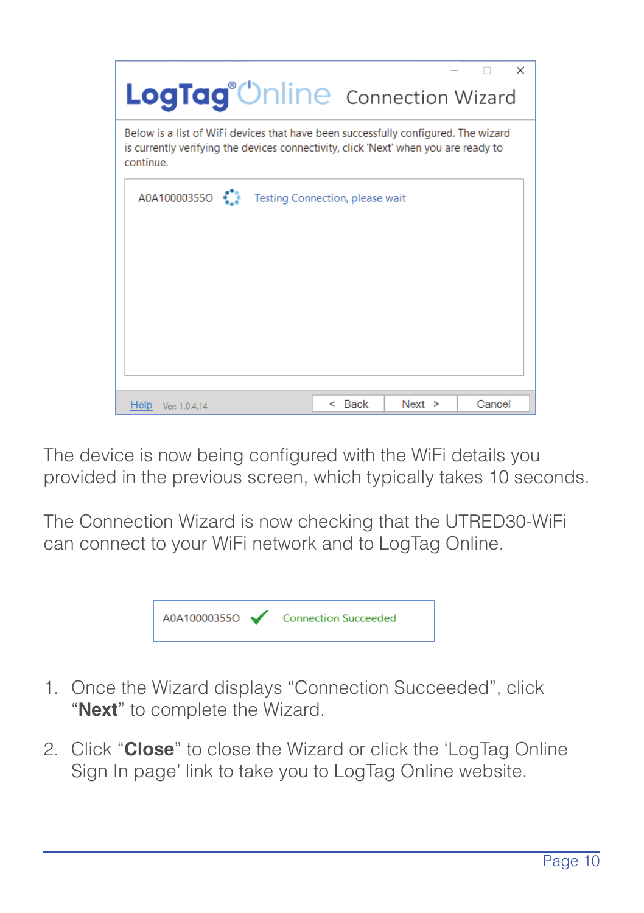| LogTag <sup>®</sup> Unline Connection Wizard                                                                                                                                           |                                        |        | $\times$ |
|----------------------------------------------------------------------------------------------------------------------------------------------------------------------------------------|----------------------------------------|--------|----------|
| Below is a list of WiFi devices that have been successfully configured. The wizard<br>is currently verifying the devices connectivity, click 'Next' when you are ready to<br>continue. |                                        |        |          |
| A0A100003550                                                                                                                                                                           | <b>Testing Connection, please wait</b> |        |          |
|                                                                                                                                                                                        |                                        |        |          |
|                                                                                                                                                                                        |                                        |        |          |
|                                                                                                                                                                                        |                                        |        |          |
| Help<br>Ver: 1.0.4.14                                                                                                                                                                  | <b>Back</b><br>e.                      | Next > | Cancel   |

The device is now being configured with the WiFi details you provided in the previous screen, which typically takes 10 seconds.

The Connection Wizard is now checking that the UTRED30-WiFi can connect to your WiFi network and to LogTag Online.



- 1. Once the Wizard displays "Connection Succeeded", click "**Next**" to complete the Wizard.
- 2. Click "**Close**" to close the Wizard or click the 'LogTag Online Sign In page' link to take you to LogTag Online website.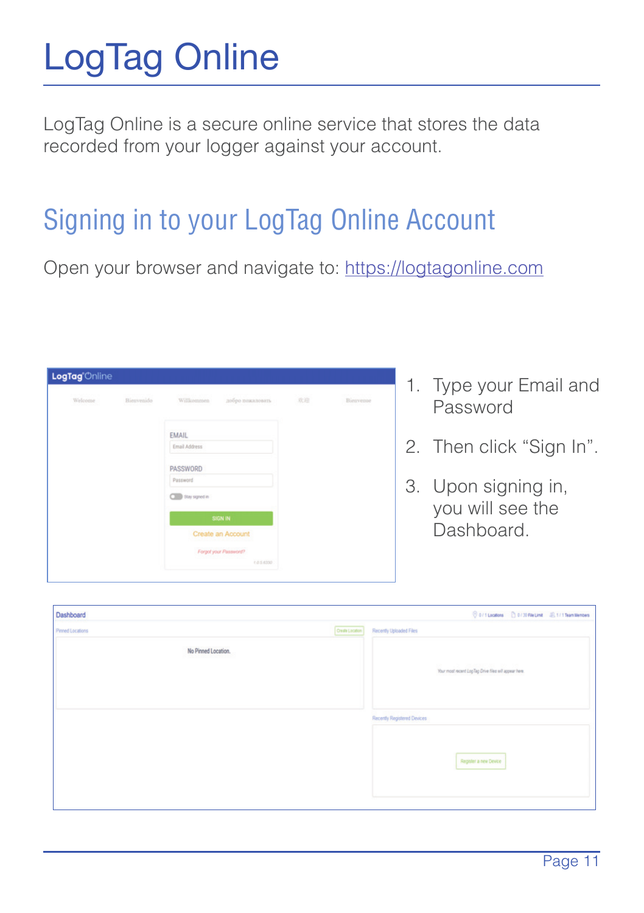## LogTag Online

LogTag Online is a secure online service that stores the data recorded from your logger against your account.

### Signing in to your LogTag Online Account

Open your browser and navigate to: https://logtagonline.com

| Welcome | Einsynside | Williammer<br>ardes nogatown. | 32.33 | Bierrence |
|---------|------------|-------------------------------|-------|-----------|
|         |            |                               |       |           |
|         |            | <b>EMAIL</b>                  |       |           |
|         |            | Enal Address                  |       |           |
|         |            | PASSWORD                      |       |           |
|         |            | Password                      |       |           |
|         |            | <b>CIII</b> Newports          |       |           |
|         |            | <b>SIGN IN</b>                |       |           |
|         |            | Create an Account             |       |           |
|         |            | Forget your Passeworth        |       |           |

- 1. Type your Email and Password
- 2. Then click "Sign In".
- 3. Upon signing in, you will see the Dashboard.

| Dashboard              | Corrossion Dormacod Entransientes                   |
|------------------------|-----------------------------------------------------|
| <b>Pered Locations</b> | <b>Chair Linder</b><br><b>Facenty Optioned Fire</b> |
| No Pinned Location.    | Normal montinglig Dive the oil appel fore           |
|                        | <b>Facently Registered Devices</b>                  |
|                        | <b>Regular a new Device</b>                         |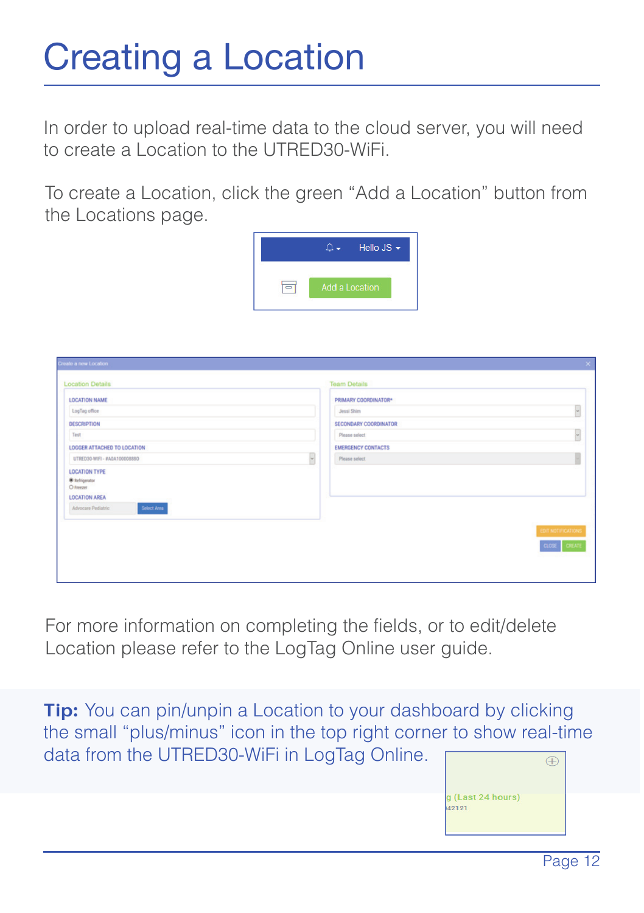### Creating a Location

In order to upload real-time data to the cloud server, you will need to create a Location to the UTRED30-WiFi.

To create a Location, click the green "Add a Location" button from the Locations page.



| <b>Location Details</b>               |   | <b>Team Details</b>       |                         |
|---------------------------------------|---|---------------------------|-------------------------|
| LOCATION NAME                         |   | PRIMARY COORDINATORY      |                         |
| LegTap office                         |   | Josephine                 | н                       |
| DESCRIPTION                           |   | SECONDARY COORDINATOR     |                         |
| Test                                  |   | Please select             | R                       |
| LOGGER ATTACHED TO LOCATION           |   | <b>EMERGENCY CONTACTS</b> |                         |
| LTRECOS ANTI - FASA 30008880          | я | Please salest             |                         |
| LOCATION TYPE<br>· Integrator<br>Ohmm |   |                           |                         |
| LOCATION AREA<br>____                 |   |                           |                         |
| Advocant Pediatric<br>Griect Aves     |   |                           |                         |
|                                       |   |                           | <b>EDT NOTIFICATION</b> |
|                                       |   |                           | <b>CLOSE</b> CREATE     |

For more information on completing the fields, or to edit/delete Location please refer to the LogTag Online user guide.

**Tip:** You can pin/unpin a Location to your dashboard by clicking the small "plus/minus" icon in the top right corner to show real-time data from the UTRED30-WiFi in LogTag Online.**ANNON**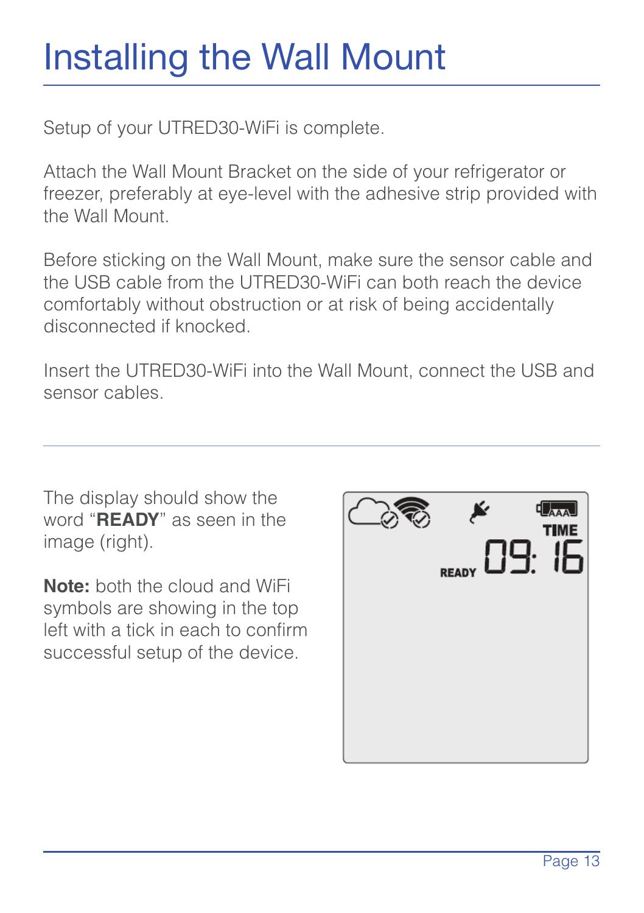### Installing the Wall Mount

Setup of your UTRED30-WiFi is complete.

Attach the Wall Mount Bracket on the side of your refrigerator or freezer, preferably at eye-level with the adhesive strip provided with the Wall Mount.

Before sticking on the Wall Mount, make sure the sensor cable and the USB cable from the UTRED30-WiFi can both reach the device comfortably without obstruction or at risk of being accidentally disconnected if knocked.

Insert the UTRED30-WiFi into the Wall Mount, connect the USB and sensor cables.

The display should show the word "**READY**" as seen in the image (right)

**Note:** both the cloud and WiFi symbols are showing in the top left with a tick in each to confirm successful setup of the device.